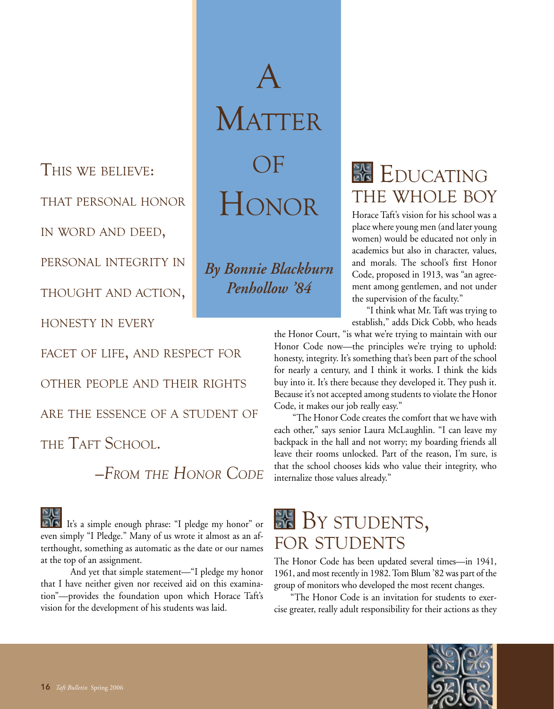This we believe: that personal honor in word and deed,

personal integrity in

thought and action,

honesty in every

THE TAFT SCHOOL.

facet of life, and respect for

other people and their rights

are the essence of a student of

A **MATTER**  $\Box$ F Honor

*By Bonnie Blackburn Penhollow '84*

**EDUCATING** the whole boy

Horace Taft's vision for his school was a place where young men (and later young women) would be educated not only in academics but also in character, values, and morals. The school's first Honor Code, proposed in 1913, was "an agreement among gentlemen, and not under the supervision of the faculty."

 "I think what Mr. Taft was trying to establish," adds Dick Cobb, who heads

the Honor Court, "is what we're trying to maintain with our Honor Code now—the principles we're trying to uphold: honesty, integrity. It's something that's been part of the school for nearly a century, and I think it works. I think the kids buy into it. It's there because they developed it. They push it. Because it's not accepted among students to violate the Honor Code, it makes our job really easy."

 "The Honor Code creates the comfort that we have with each other," says senior Laura McLaughlin. "I can leave my backpack in the hall and not worry; my boarding friends all leave their rooms unlocked. Part of the reason, I'm sure, is that the school chooses kids who value their integrity, who internalize those values already."

It's a simple enough phrase: "I pledge my honor" or even simply "I Pledge." Many of us wrote it almost as an afterthought, something as automatic as the date or our names

*—From the Honor Code*

at the top of an assignment. And yet that simple statement—"I pledge my honor that I have neither given nor received aid on this examination"—provides the foundation upon which Horace Taft's vision for the development of his students was laid.

## BY STUDENTS, for students

The Honor Code has been updated several times—in 1941, 1961, and most recently in 1982. Tom Blum '82 was part of the group of monitors who developed the most recent changes.

"The Honor Code is an invitation for students to exercise greater, really adult responsibility for their actions as they

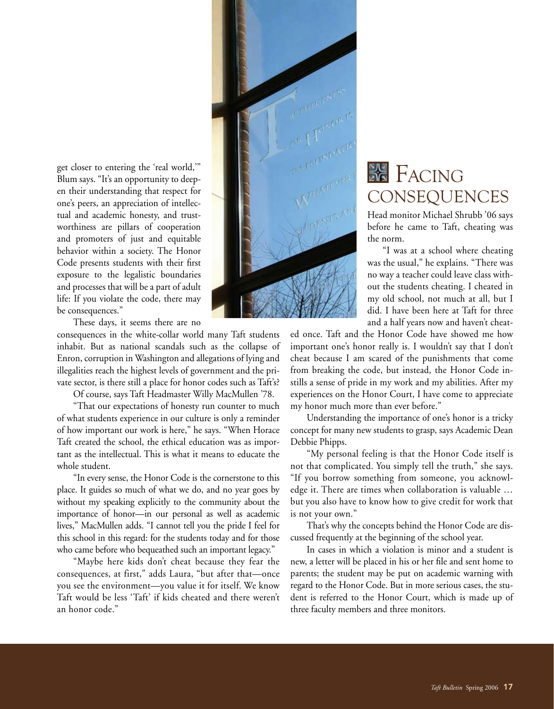

get closer to entering the 'real world,'" Blum says. "It's an opportunity to deepen their understanding that respect for one's peers, an appreciation of intellectual and academic honesty, and trustworthiness are pillars of cooperation and promoters of just and equitable behavior within a society. The Honor Code presents students with their first exposure to the legalistic boundaries and processes that will be a part of adult life: If you violate the code, there may be consequences."

These days, it seems there are no

consequences in the white-collar world many Taft students inhabit. But as national scandals such as the collapse of Enron, corruption in Washington and allegations of lying and illegalities reach the highest levels of government and the private sector, is there still a place for honor codes such as Taft's?

Of course, says Taft Headmaster Willy MacMullen '78.

"That our expectations of honesty run counter to much of what students experience in our culture is only a reminder of how important our work is here," he says. "When Horace Taft created the school, the ethical education was as important as the intellectual. This is what it means to educate the whole student.

"In every sense, the Honor Code is the cornerstone to this place. It guides so much of what we do, and no year goes by without my speaking explicitly to the community about the importance of honor—in our personal as well as academic lives," MacMullen adds. "I cannot tell you the pride I feel for this school in this regard: for the students today and for those who came before who bequeathed such an important legacy."

"Maybe here kids don't cheat because they fear the consequences, at first," adds Laura, "but after that—once you see the environment—you value it for itself. We know Taft would be less 'Taft' if kids cheated and there weren't an honor code."

## **FACING CONSEQUENCES**

Head monitor Michael Shrubb '06 says before he came to Taft, cheating was the norm.

 "I was at a school where cheating was the usual," he explains. "There was no way a teacher could leave class without the students cheating. I cheated in my old school, not much at all, but I did. I have been here at Taft for three and a half years now and haven't cheat-

ed once. Taft and the Honor Code have showed me how important one's honor really is. I wouldn't say that I don't cheat because I am scared of the punishments that come from breaking the code, but instead, the Honor Code instills a sense of pride in my work and my abilities. After my experiences on the Honor Court, I have come to appreciate my honor much more than ever before."

Understanding the importance of one's honor is a tricky concept for many new students to grasp, says Academic Dean Debbie Phipps.

"My personal feeling is that the Honor Code itself is not that complicated. You simply tell the truth," she says. "If you borrow something from someone, you acknowledge it. There are times when collaboration is valuable … but you also have to know how to give credit for work that is not your own."

That's why the concepts behind the Honor Code are discussed frequently at the beginning of the school year.

In cases in which a violation is minor and a student is new, a letter will be placed in his or her file and sent home to parents; the student may be put on academic warning with regard to the Honor Code. But in more serious cases, the student is referred to the Honor Court, which is made up of three faculty members and three monitors.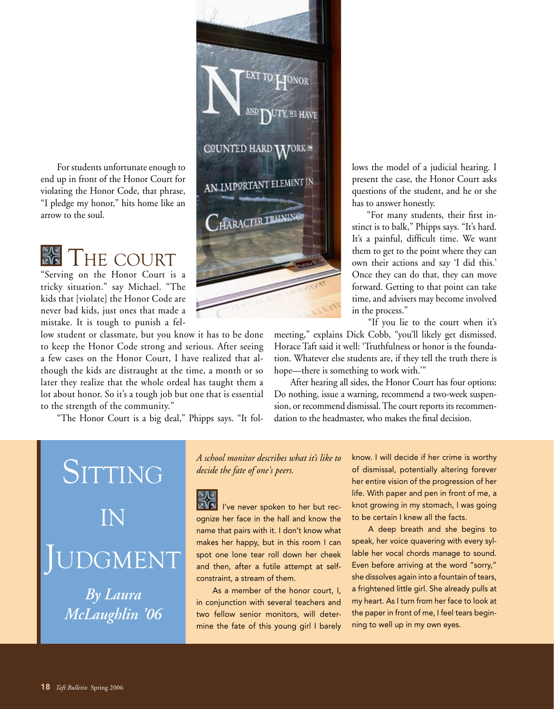For students unfortunate enough to end up in front of the Honor Court for violating the Honor Code, that phrase, "I pledge my honor," hits home like an arrow to the soul.

 $\frac{1}{\epsilon}$ **THE COURT** 

"Serving on the Honor Court is a tricky situation." say Michael. "The kids that [violate] the Honor Code are never bad kids, just ones that made a mistake. It is tough to punish a fel-

low student or classmate, but you know it has to be done to keep the Honor Code strong and serious. After seeing a few cases on the Honor Court, I have realized that although the kids are distraught at the time, a month or so later they realize that the whole ordeal has taught them a lot about honor. So it's a tough job but one that is essential to the strength of the community."

"The Honor Court is a big deal," Phipps says. "It fol-

SITTING in GMENT *By Laura McLaughlin '06*

*A school monitor describes what it's like to decide the fate of one's peers.*

I've never spoken to her but recognize her face in the hall and know the name that pairs with it. I don't know what makes her happy, but in this room I can spot one lone tear roll down her cheek and then, after a futile attempt at selfconstraint, a stream of them.

As a member of the honor court, I, in conjunction with several teachers and two fellow senior monitors, will determine the fate of this young girl I barely lows the model of a judicial hearing. I present the case, the Honor Court asks questions of the student, and he or she has to answer honestly.

 "For many students, their first instinct is to balk," Phipps says. "It's hard. It's a painful, difficult time. We want them to get to the point where they can own their actions and say 'I did this.' Once they can do that, they can move forward. Getting to that point can take time, and advisers may become involved in the process."

"If you lie to the court when it's

meeting," explains Dick Cobb, "you'll likely get dismissed. Horace Taft said it well: 'Truthfulness or honor is the foundation. Whatever else students are, if they tell the truth there is hope—there is something to work with.'"

After hearing all sides, the Honor Court has four options: Do nothing, issue a warning, recommend a two-week suspension, or recommend dismissal. The court reports its recommendation to the headmaster, who makes the final decision.

> know. I will decide if her crime is worthy of dismissal, potentially altering forever her entire vision of the progression of her life. With paper and pen in front of me, a knot growing in my stomach, I was going to be certain I knew all the facts.

> A deep breath and she begins to speak, her voice quavering with every syllable her vocal chords manage to sound. Even before arriving at the word "sorry," she dissolves again into a fountain of tears, a frightened little girl. She already pulls at my heart. As I turn from her face to look at the paper in front of me, I feel tears beginning to well up in my own eyes.